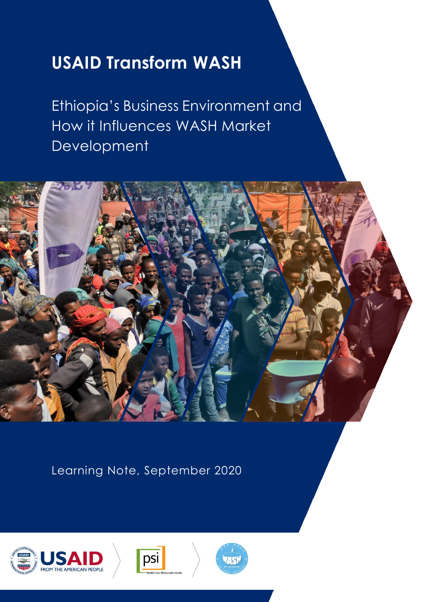# **USAID Transform WASH**

Ethiopia's Business Environment and How it Influences WASH Market **Development** 



Learning Note, September 2020





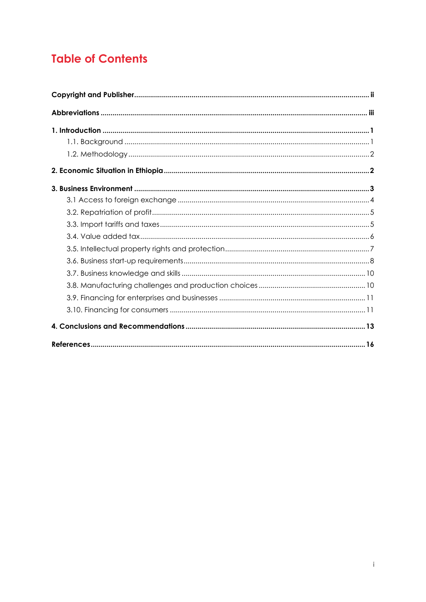## **Table of Contents**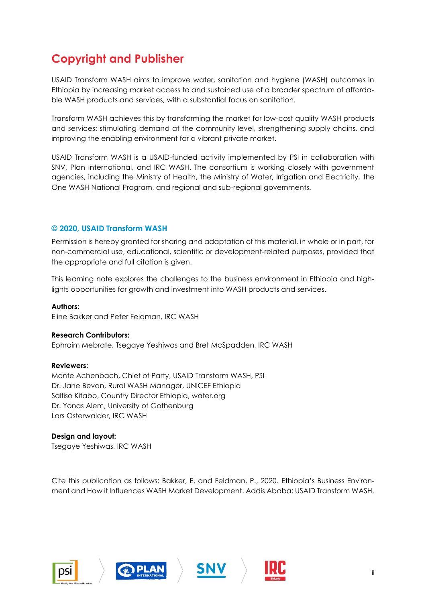## <span id="page-2-0"></span>**Copyright and Publisher**

USAID Transform WASH aims to improve water, sanitation and hygiene (WASH) outcomes in Ethiopia by increasing market access to and sustained use of a broader spectrum of affordable WASH products and services, with a substantial focus on sanitation.

Transform WASH achieves this by transforming the market for low-cost quality WASH products and services: stimulating demand at the community level, strengthening supply chains, and improving the enabling environment for a vibrant private market.

USAID Transform WASH is a USAID-funded activity implemented by PSI in collaboration with SNV, Plan International, and IRC WASH. The consortium is working closely with government agencies, including the Ministry of Health, the Ministry of Water, Irrigation and Electricity, the One WASH National Program, and regional and sub-regional governments.

#### **© 2020, USAID Transform WASH**

Permission is hereby granted for sharing and adaptation of this material, in whole or in part, for non-commercial use, educational, scientific or development-related purposes, provided that the appropriate and full citation is given.

This learning note explores the challenges to the business environment in Ethiopia and highlights opportunities for growth and investment into WASH products and services.

**Authors:**  Eline Bakker and Peter Feldman, IRC WASH

#### **Research Contributors:**

Ephraim Mebrate, Tsegaye Yeshiwas and Bret McSpadden, IRC WASH

#### **Reviewers:**

Monte Achenbach, Chief of Party, USAID Transform WASH, PSI Dr. Jane Bevan, Rural WASH Manager, UNICEF Ethiopia Salfiso Kitabo, Country Director Ethiopia, water.org Dr. Yonas Alem, University of Gothenburg Lars Osterwalder, IRC WASH

#### **Design and layout:**

Tsegaye Yeshiwas, IRC WASH

Cite this publication as follows: Bakker, E. and Feldman, P., 2020*.* Ethiopia's Business Environment and How it Influences WASH Market Development. Addis Ababa: USAID Transform WASH.







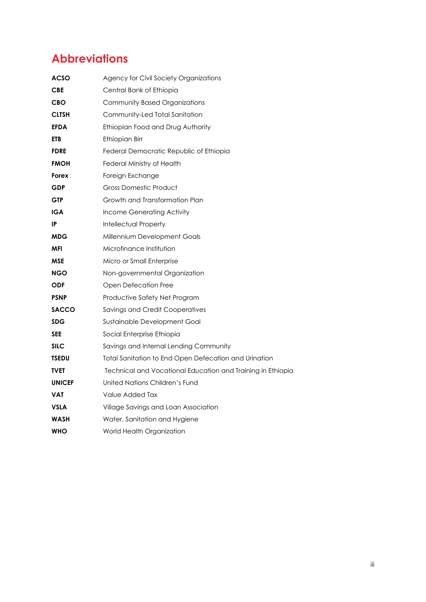## <span id="page-3-0"></span>**Abbreviations**

| ACSO          | Agency for Civil Society Organizations                      |
|---------------|-------------------------------------------------------------|
| CBE           | Central Bank of Ethiopia                                    |
| <b>CBO</b>    | Community Based Organizations                               |
| <b>CLTSH</b>  | Community-Led Total Sanitation                              |
| <b>EFDA</b>   | Ethiopian Food and Drug Authority                           |
| <b>ETB</b>    | Ethiopian Birr                                              |
| <b>FDRE</b>   | Federal Democratic Republic of Ethiopia                     |
| <b>FMOH</b>   | Federal Ministry of Health                                  |
| Forex         | Foreign Exchange                                            |
| <b>GDP</b>    | <b>Gross Domestic Product</b>                               |
| <b>GTP</b>    | Growth and Transformation Plan                              |
| IGA           | Income Generating Activity                                  |
| IP            | <b>Intellectual Property</b>                                |
| <b>MDG</b>    | Millennium Development Goals                                |
| MFI           | Microfinance Institution                                    |
| MSE           | Micro or Small Enterprise                                   |
| <b>NGO</b>    | Non-governmental Organization                               |
| <b>ODF</b>    | Open Defecation Free                                        |
| <b>PSNP</b>   | Productive Safety Net Program                               |
| <b>SACCO</b>  | <b>Savings and Credit Cooperatives</b>                      |
| <b>SDG</b>    | Sustainable Development Goal                                |
| <b>SEE</b>    | Social Enterprise Ethiopia                                  |
| <b>SILC</b>   | Savings and Internal Lending Community                      |
| <b>TSEDU</b>  | Total Sanitation to End Open Defecation and Urination       |
| TVET          | Technical and Vocational Education and Training in Ethiopia |
| <b>UNICEF</b> | United Nations Children's Fund                              |
| VAT           | Value Added Tax                                             |
| VSLA          | Village Savings and Loan Association                        |
| <b>WASH</b>   | Water, Sanitation and Hygiene                               |
| <b>WHO</b>    | World Health Organization                                   |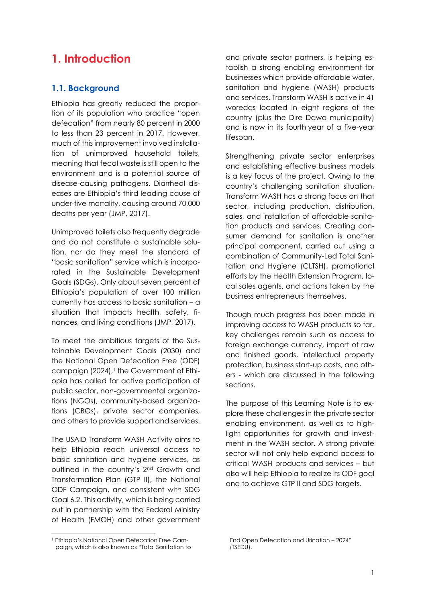### <span id="page-4-0"></span>**1. Introduction**

#### <span id="page-4-1"></span>**1.1. Background**

Ethiopia has greatly reduced the proportion of its population who practice "open defecation" from nearly 80 percent in 2000 to less than 23 percent in 2017. However, much of this improvement involved installation of unimproved household toilets, meaning that fecal waste is still open to the environment and is a potential source of disease-causing pathogens. Diarrheal diseases are Ethiopia's third leading cause of under-five mortality, causing around 70,000 deaths per year (JMP, 2017).

Unimproved toilets also frequently degrade and do not constitute a sustainable solution, nor do they meet the standard of "basic sanitation" service which is incorporated in the Sustainable Development Goals (SDGs). Only about seven percent of Ethiopia's population of over 100 million currently has access to basic sanitation – a situation that impacts health, safety, finances, and living conditions (JMP, 2017).

To meet the ambitious targets of the Sustainable Development Goals (2030) and the National Open Defecation Free (ODF) campaign (2024), <sup>1</sup> the Government of Ethiopia has called for active participation of public sector, non-governmental organizations (NGOs), community-based organizations (CBOs), private sector companies, and others to provide support and services.

The USAID Transform WASH Activity aims to help Ethiopia reach universal access to basic sanitation and hygiene services, as outlined in the country's 2nd Growth and Transformation Plan (GTP II), the National ODF Campaign, and consistent with SDG Goal 6.2. This activity, which is being carried out in partnership with the Federal Ministry of Health (FMOH) and other government and private sector partners, is helping establish a strong enabling environment for businesses which provide affordable water, sanitation and hygiene (WASH) products and services. Transform WASH is active in 41 woredas located in eight regions of the country (plus the Dire Dawa municipality) and is now in its fourth year of a five-year lifespan.

Strengthening private sector enterprises and establishing effective business models is a key focus of the project. Owing to the country's challenging sanitation situation, Transform WASH has a strong focus on that sector, including production, distribution, sales, and installation of affordable sanitation products and services. Creating consumer demand for sanitation is another principal component, carried out using a combination of Community-Led Total Sanitation and Hygiene (CLTSH), promotional efforts by the Health Extension Program, local sales agents, and actions taken by the business entrepreneurs themselves.

Though much progress has been made in improving access to WASH products so far, key challenges remain such as access to foreign exchange currency, import of raw and finished goods, intellectual property protection, business start-up costs, and others - which are discussed in the following sections.

The purpose of this Learning Note is to explore these challenges in the private sector enabling environment, as well as to highlight opportunities for growth and investment in the WASH sector. A strong private sector will not only help expand access to critical WASH products and services – but also will help Ethiopia to realize its ODF goal and to achieve GTP II and SDG targets.

<sup>1</sup> Ethiopia's National Open Defecation Free Campaign, which is also known as "Total Sanitation to

End Open Defecation and Urination – 2024" (TSEDU).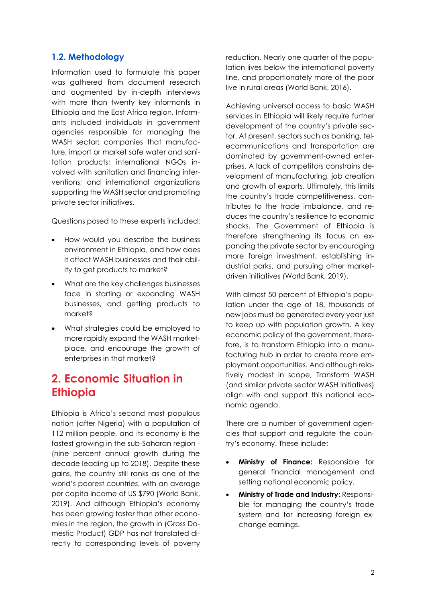#### <span id="page-5-0"></span>**1.2. Methodology**

Information used to formulate this paper was gathered from document research and augmented by in-depth interviews with more than twenty key informants in Ethiopia and the East Africa region. Informants included individuals in government agencies responsible for managing the WASH sector; companies that manufacture, import or market safe water and sanitation products; international NGOs involved with sanitation and financing interventions; and international organizations supporting the WASH sector and promoting private sector initiatives.

Questions posed to these experts included:

- How would you describe the business environment in Ethiopia, and how does it affect WASH businesses and their ability to get products to market?
- What are the key challenges businesses face in starting or expanding WASH businesses, and getting products to market?
- What strategies could be employed to more rapidly expand the WASH marketplace, and encourage the growth of enterprises in that market?

## <span id="page-5-1"></span>**2. Economic Situation in Ethiopia**

Ethiopia is Africa's second most populous nation (after Nigeria) with a population of 112 million people, and its economy is the fastest growing in the sub-Saharan region - (nine percent annual growth during the decade leading up to 2018). Despite these gains, the country still ranks as one of the world's poorest countries, with an average per capita income of US \$790 (World Bank, 2019). And although Ethiopia's economy has been growing faster than other economies in the region, the growth in (Gross Domestic Product) GDP has not translated directly to corresponding levels of poverty reduction. Nearly one quarter of the population lives below the international poverty line, and proportionately more of the poor live in rural areas (World Bank, 2016).

Achieving universal access to basic WASH services in Ethiopia will likely require further development of the country's private sector. At present, sectors such as banking, telecommunications and transportation are dominated by government-owned enterprises. A lack of competitors constrains development of manufacturing, job creation and growth of exports. Ultimately, this limits the country's trade competitiveness, contributes to the trade imbalance, and reduces the country's resilience to economic shocks. The Government of Ethiopia is therefore strengthening its focus on expanding the private sector by encouraging more foreign investment, establishing industrial parks, and pursuing other marketdriven initiatives (World Bank, 2019).

With almost 50 percent of Ethiopia's population under the age of 18, thousands of new jobs must be generated every year just to keep up with population growth. A key economic policy of the government, therefore, is to transform Ethiopia into a manufacturing hub in order to create more employment opportunities. And although relatively modest in scope, Transform WASH (and similar private sector WASH initiatives) align with and support this national economic agenda.

There are a number of government agencies that support and regulate the country's economy. These include:

- **Ministry of Finance:** Responsible for general financial management and setting national economic policy.
- **Ministry of Trade and Industry:** Responsible for managing the country's trade system and for increasing foreign exchange earnings.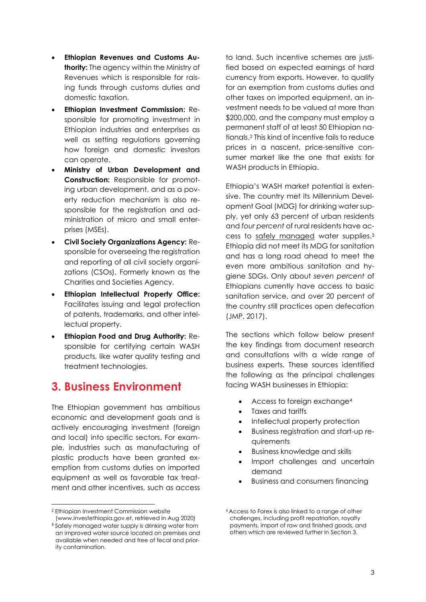- **Ethiopian Revenues and Customs Authority:** The agency within the Ministry of Revenues which is responsible for raising funds through customs duties and domestic taxation.
- **Ethiopian Investment Commission:** Responsible for promoting investment in Ethiopian industries and enterprises as well as setting regulations governing how foreign and domestic investors can operate.
- **Ministry of Urban Development and Construction:** Responsible for promoting urban development, and as a poverty reduction mechanism is also responsible for the registration and administration of micro and small enterprises (MSEs).
- **Civil Society Organizations Agency:** Responsible for overseeing the registration and reporting of all civil society organizations (CSOs). Formerly known as the Charities and Societies Agency.
- **Ethiopian Intellectual Property Office:**  Facilitates issuing and legal protection of patents, trademarks, and other intellectual property.
- **Ethiopian Food and Drug Authority:** Responsible for certifying certain WASH products, like water quality testing and treatment technologies.

### <span id="page-6-0"></span>**3. Business Environment**

The Ethiopian government has ambitious economic and development goals and is actively encouraging investment (foreign and local) into specific sectors. For example, industries such as manufacturing of plastic products have been granted exemption from customs duties on imported equipment as well as favorable tax treatment and other incentives, such as access

to land. Such incentive schemes are justified based on expected earnings of hard currency from exports. However, to qualify for an exemption from customs duties and other taxes on imported equipment, an investment needs to be valued at more than \$200,000, and the company must employ a permanent staff of at least 50 Ethiopian nationals.<sup>2</sup> This kind of incentive fails to reduce prices in a nascent, price-sensitive consumer market like the one that exists for WASH products in Ethiopia.

Ethiopia's WASH market potential is extensive. The country met its Millennium Development Goal (MDG) for drinking water supply, yet only 63 percent of urban residents and *four percent* of rural residents have access to safely managed water supplies.<sup>3</sup> Ethiopia did not meet its MDG for sanitation and has a long road ahead to meet the even more ambitious sanitation and hygiene SDGs. Only about *seven percent* of Ethiopians currently have access to basic sanitation service, and over 20 percent of the country still practices open defecation (JMP, 2017).

The sections which follow below present the key findings from document research and consultations with a wide range of business experts. These sources identified the following as the principal challenges facing WASH businesses in Ethiopia:

- Access to foreign exchange<sup>4</sup>
- Taxes and tariffs
- Intellectual property protection
- Business registration and start-up requirements
- Business knowledge and skills
- Import challenges and uncertain demand
- Business and consumers financing

<sup>2</sup> Ethiopian Investment Commission website

[<sup>\(</sup>www.investethiopia.gov.et,](http://(www.investethiopia.gov.et/) retrieved in Aug 2020) <sup>3</sup> Safely managed water supply is drinking water from an improved water source located on premises and available when needed and free of fecal and priority contamination.

<sup>4</sup> Access to Forex is also linked to a range of other challenges, including profit repatriation, royalty payments, import of raw and finished goods, and others which are reviewed further in Section 3.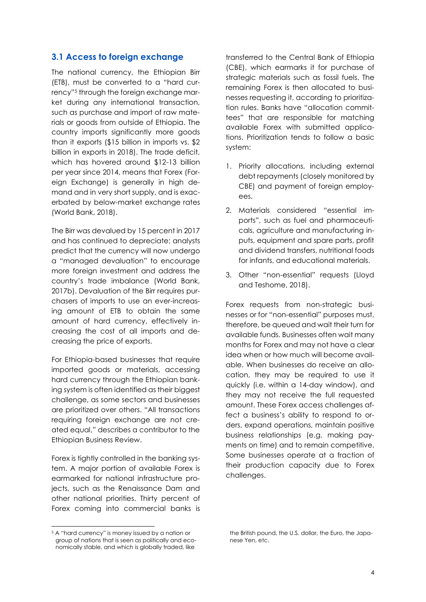#### <span id="page-7-0"></span>**3.1 Access to foreign exchange**

The national currency, the Ethiopian Birr (ETB), must be converted to a "hard currency"<sup>5</sup> through the foreign exchange market during any international transaction, such as purchase and import of raw materials or goods from outside of Ethiopia. The country imports significantly more goods than it exports (\$15 billion in imports vs. \$2 billion in exports in 2018). The trade deficit, which has hovered around \$12-13 billion per year since 2014, means that Forex (Foreign Exchange) is generally in high demand and in very short supply, and is exacerbated by below-market exchange rates (World Bank, 2018).

The Birr was devalued by 15 percent in 2017 and has continued to depreciate; analysts predict that the currency will now undergo a "managed devaluation" to encourage more foreign investment and address the country's trade imbalance (World Bank, 2017b). Devaluation of the Birr requires purchasers of imports to use an ever-increasing amount of ETB to obtain the same amount of hard currency, effectively increasing the cost of all imports and decreasing the price of exports.

For Ethiopia-based businesses that require imported goods or materials, accessing hard currency through the Ethiopian banking system is often identified as their biggest challenge, as some sectors and businesses are prioritized over others. "All transactions requiring foreign exchange are not created equal," describes a contributor to the Ethiopian Business Review.

Forex is tightly controlled in the banking system. A major portion of available Forex is earmarked for national infrastructure projects, such as the Renaissance Dam and other national priorities. Thirty percent of Forex coming into commercial banks is

transferred to the Central Bank of Ethiopia (CBE), which earmarks it for purchase of strategic materials such as fossil fuels. The remaining Forex is then allocated to businesses requesting it, according to prioritization rules. Banks have "allocation committees" that are responsible for matching available Forex with submitted applications. Prioritization tends to follow a basic system:

- 1. Priority allocations, including external debt repayments (closely monitored by CBE) and payment of foreign employees.
- 2. Materials considered "essential imports", such as fuel and pharmaceuticals, agriculture and manufacturing inputs, equipment and spare parts, profit and dividend transfers, nutritional foods for infants, and educational materials.
- 3. Other "non-essential" requests (Lloyd and Teshome, 2018).

Forex requests from non-strategic businesses or for "non-essential" purposes must, therefore, be queued and wait their turn for available funds. Businesses often wait many months for Forex and may not have a clear idea when or how much will become available. When businesses do receive an allocation, they may be required to use it quickly (i.e. within a 14-day window), and they may not receive the full requested amount. These Forex access challenges affect a business's ability to respond to orders, expand operations, maintain positive business relationships (e.g. making payments on time) and to remain competitive. Some businesses operate at a fraction of their production capacity due to Forex challenges.

<sup>5</sup> A "hard currency" is money issued by a nation or group of nations that is seen as politically and economically stable, and which is globally traded, like

the British pound, the U.S. dollar, the Euro, the Japanese Yen, etc.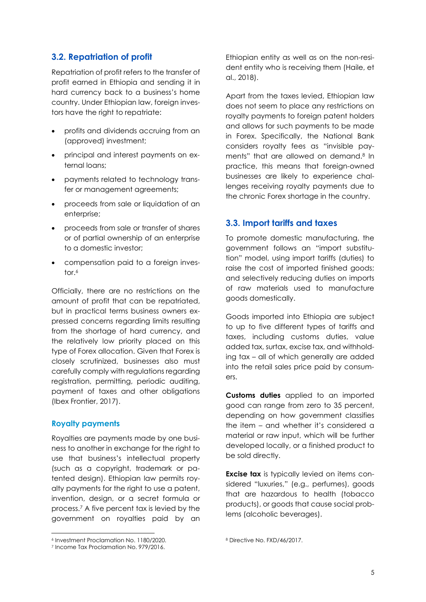#### <span id="page-8-0"></span>**3.2. Repatriation of profit**

Repatriation of profit refers to the transfer of profit earned in Ethiopia and sending it in hard currency back to a business's home country. Under Ethiopian law, foreign investors have the right to repatriate:

- profits and dividends accruing from an (approved) investment;
- principal and interest payments on external loans;
- payments related to technology transfer or management agreements;
- proceeds from sale or liquidation of an enterprise;
- proceeds from sale or transfer of shares or of partial ownership of an enterprise to a domestic investor;
- compensation paid to a foreign investor.<sup>6</sup>

Officially, there are no restrictions on the amount of profit that can be repatriated, but in practical terms business owners expressed concerns regarding limits resulting from the shortage of hard currency, and the relatively low priority placed on this type of Forex allocation. Given that Forex is closely scrutinized, businesses also must carefully comply with regulations regarding registration, permitting, periodic auditing, payment of taxes and other obligations (Ibex Frontier, 2017).

#### **Royalty payments**

Royalties are payments made by one business to another in exchange for the right to use that business's intellectual property (such as a copyright, trademark or patented design). Ethiopian law permits royalty payments for the right to use a patent, invention, design, or a secret formula or process.<sup>7</sup> A five percent tax is levied by the government on royalties paid by an Ethiopian entity as well as on the non-resident entity who is receiving them (Haile, et al., 2018).

Apart from the taxes levied, Ethiopian law does not seem to place any restrictions on royalty payments to foreign patent holders and allows for such payments to be made in Forex. Specifically, the National Bank considers royalty fees as "invisible payments" that are allowed on demand.<sup>8</sup> In practice, this means that foreign-owned businesses are likely to experience challenges receiving royalty payments due to the chronic Forex shortage in the country.

#### <span id="page-8-1"></span>**3.3. Import tariffs and taxes**

To promote domestic manufacturing, the government follows an "import substitution" model, using import tariffs (duties) to raise the cost of imported finished goods; and selectively reducing duties on imports of raw materials used to manufacture goods domestically.

Goods imported into Ethiopia are subject to up to five different types of tariffs and taxes, including customs duties, value added tax, surtax, excise tax, and withholding tax – all of which generally are added into the retail sales price paid by consumers.

**Customs duties** applied to an imported good can range from zero to 35 percent, depending on how government classifies the item – and whether it's considered a material or raw input, which will be further developed locally, or a finished product to be sold directly.

**Excise tax** is typically levied on items considered "luxuries," (e.g., perfumes), goods that are hazardous to health (tobacco products), or goods that cause social problems (alcoholic beverages).

<sup>6</sup> Investment Proclamation No. 1180/2020.

<sup>7</sup> Income Tax Proclamation No. 979/2016.

<sup>8</sup> Directive No. FXD/46/2017.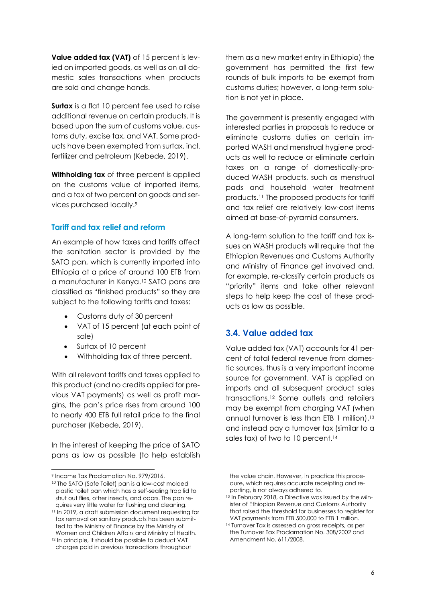**Value added tax (VAT)** of 15 percent is levied on imported goods, as well as on all domestic sales transactions when products are sold and change hands.

**Surtax** is a flat 10 percent fee used to raise additional revenue on certain products. It is based upon the sum of customs value, customs duty, excise tax, and VAT. Some products have been exempted from surtax, incl. fertilizer and petroleum (Kebede, 2019).

**Withholding tax** of three percent is applied on the customs value of imported items, and a tax of two percent on goods and services purchased locally.<sup>9</sup>

#### **Tariff and tax relief and reform**

An example of how taxes and tariffs affect the sanitation sector is provided by the SATO pan, which is currently imported into Ethiopia at a price of around 100 ETB from a manufacturer in Kenya. <sup>10</sup> SATO pans are classified as "finished products" so they are subject to the following tariffs and taxes:

- Customs duty of 30 percent
- VAT of 15 percent (at each point of sale)
- Surtax of 10 percent
- Withholding tax of three percent.

With all relevant tariffs and taxes applied to this product (and no credits applied for previous VAT payments) as well as profit margins, the pan's price rises from around 100 to nearly 400 ETB full retail price to the final purchaser (Kebede, 2019).

In the interest of keeping the price of SATO pans as low as possible (to help establish them as a new market entry in Ethiopia) the government has permitted the first few rounds of bulk imports to be exempt from customs duties; however, a long-term solution is not yet in place.

The government is presently engaged with interested parties in proposals to reduce or eliminate customs duties on certain imported WASH and menstrual hygiene products as well to reduce or eliminate certain taxes on a range of domestically-produced WASH products, such as menstrual pads and household water treatment products. <sup>11</sup> The proposed products for tariff and tax relief are relatively low-cost items aimed at base-of-pyramid consumers.

A long-term solution to the tariff and tax issues on WASH products will require that the Ethiopian Revenues and Customs Authority and Ministry of Finance get involved and, for example, re-classify certain products as "priority" items and take other relevant steps to help keep the cost of these products as low as possible.

#### <span id="page-9-0"></span>**3.4. Value added tax**

Value added tax (VAT) accounts for 41 percent of total federal revenue from domestic sources, thus is a very important income source for government. VAT is applied on imports and all subsequent product sales transactions. <sup>12</sup> Some outlets and retailers may be exempt from charging VAT (when annual turnover is less than ETB 1 million), 13 and instead pay a turnover tax (similar to a sales tax) of two to 10 percent. 14

<sup>9</sup> Income Tax Proclamation No. 979/2016.

<sup>10</sup> The SATO (Safe Toilet) pan is a low-cost molded plastic toilet pan which has a self-sealing trap lid to shut out flies, other insects, and odors. The pan requires very little water for flushing and cleaning.

<sup>11</sup> In 2019, a draft submission document requesting for tax removal on sanitary products has been submitted to the Ministry of Finance by the Ministry of Women and Children Affairs and Ministry of Health.

<sup>12</sup> In principle, it should be possible to deduct VAT charges paid in previous transactions throughout

the value chain. However, in practice this procedure, which requires accurate receipting and reporting, is not always adhered to.

<sup>13</sup> In February 2018, a Directive was issued by the Minister of Ethiopian Revenue and Customs Authority that raised the threshold for businesses to register for VAT payments from ETB 500,000 to ETB 1 million.

<sup>&</sup>lt;sup>14</sup> Turnover Tax is assessed on gross receipts, as per the Turnover Tax Proclamation No. 308/2002 and Amendment No. 611/2008.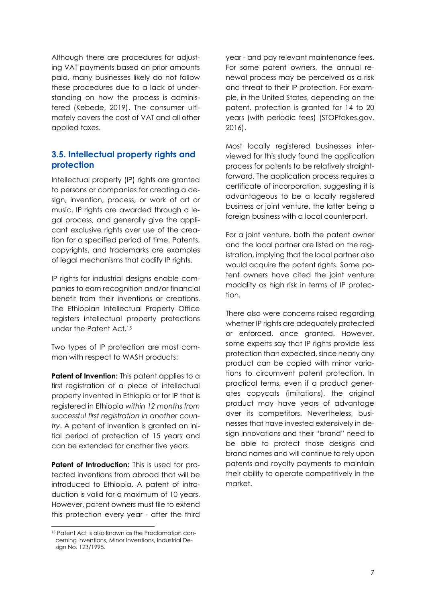Although there are procedures for adjusting VAT payments based on prior amounts paid, many businesses likely do not follow these procedures due to a lack of understanding on how the process is administered (Kebede, 2019). The consumer ultimately covers the cost of VAT and all other applied taxes.

#### <span id="page-10-0"></span>**3.5. Intellectual property rights and protection**

Intellectual property (IP) rights are granted to persons or companies for creating a design, invention, process, or work of art or music. IP rights are awarded through a legal process, and generally give the applicant exclusive rights over use of the creation for a specified period of time. Patents, copyrights, and trademarks are examples of legal mechanisms that codify IP rights.

IP rights for industrial designs enable companies to earn recognition and/or financial benefit from their inventions or creations. The Ethiopian Intellectual Property Office registers intellectual property protections under the Patent Act. 15

Two types of IP protection are most common with respect to WASH products:

**Patent of Invention:** This patent applies to a first registration of a piece of intellectual property invented in Ethiopia or for IP that is registered in Ethiopia *within 12 months from successful first registration in another country*. A patent of invention is granted an initial period of protection of 15 years and can be extended for another five years.

**Patent of Introduction:** This is used for protected inventions from abroad that will be introduced to Ethiopia. A patent of introduction is valid for a maximum of 10 years. However, patent owners must file to extend this protection every year - after the third

year - and pay relevant maintenance fees. For some patent owners, the annual renewal process may be perceived as a risk and threat to their IP protection. For example, in the United States, depending on the patent, protection is granted for 14 to 20 years (with periodic fees) (STOPfakes.gov, 2016).

Most locally registered businesses interviewed for this study found the application process for patents to be relatively straightforward. The application process requires a certificate of incorporation, suggesting it is advantageous to be a locally registered business or joint venture, the latter being a foreign business with a local counterpart.

For a joint venture, both the patent owner and the local partner are listed on the registration, implying that the local partner also would acquire the patent rights. Some patent owners have cited the joint venture modality as high risk in terms of IP protection.

There also were concerns raised regarding whether IP rights are adequately protected or enforced, once granted. However, some experts say that IP rights provide less protection than expected, since nearly any product can be copied with minor variations to circumvent patent protection. In practical terms, even if a product generates copycats (imitations), the original product may have years of advantage over its competitors. Nevertheless, businesses that have invested extensively in design innovations and their "brand" need to be able to protect those designs and brand names and will continue to rely upon patents and royalty payments to maintain their ability to operate competitively in the market.

<sup>&</sup>lt;sup>15</sup> Patent Act is also known as the Proclamation concerning Inventions, Minor Inventions, Industrial Design No. 123/1995.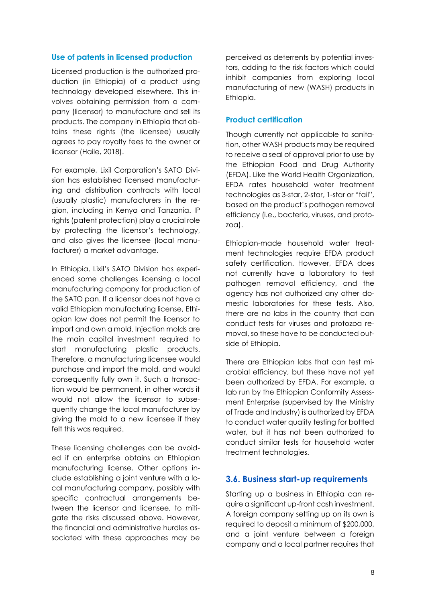#### **Use of patents in licensed production**

Licensed production is the authorized production (in Ethiopia) of a product using technology developed elsewhere. This involves obtaining permission from a company (licensor) to manufacture and sell its products. The company in Ethiopia that obtains these rights (the licensee) usually agrees to pay royalty fees to the owner or licensor (Haile, 2018).

For example, Lixil Corporation's SATO Division has established licensed manufacturing and distribution contracts with local (usually plastic) manufacturers in the region, including in Kenya and Tanzania. IP rights (patent protection) play a crucial role by protecting the licensor's technology, and also gives the licensee (local manufacturer) a market advantage.

In Ethiopia, Lixil's SATO Division has experienced some challenges licensing a local manufacturing company for production of the SATO pan. If a licensor does not have a valid Ethiopian manufacturing license, Ethiopian law does not permit the licensor to import and own a mold. Injection molds are the main capital investment required to start manufacturing plastic products. Therefore, a manufacturing licensee would purchase and import the mold, and would consequently fully own it. Such a transaction would be permanent, in other words it would not allow the licensor to subsequently change the local manufacturer by giving the mold to a new licensee if they felt this was required.

These licensing challenges can be avoided if an enterprise obtains an Ethiopian manufacturing license. Other options include establishing a joint venture with a local manufacturing company, possibly with specific contractual arrangements between the licensor and licensee, to mitigate the risks discussed above. However, the financial and administrative hurdles associated with these approaches may be

perceived as deterrents by potential investors, adding to the risk factors which could inhibit companies from exploring local manufacturing of new (WASH) products in Ethiopia.

#### **Product certification**

Though currently not applicable to sanitation, other WASH products may be required to receive a seal of approval prior to use by the Ethiopian Food and Drug Authority (EFDA). Like the World Health Organization, EFDA rates household water treatment technologies as 3-star, 2-star, 1-star or "fail", based on the product's pathogen removal efficiency (i.e., bacteria, viruses, and protozoa).

Ethiopian-made household water treatment technologies require EFDA product safety certification. However, EFDA does not currently have a laboratory to test pathogen removal efficiency, and the agency has not authorized any other domestic laboratories for these tests. Also, there are no labs in the country that can conduct tests for viruses and protozoa removal, so these have to be conducted outside of Ethiopia.

There are Ethiopian labs that can test microbial efficiency, but these have not yet been authorized by EFDA. For example, a lab run by the Ethiopian Conformity Assessment Enterprise (supervised by the Ministry of Trade and Industry) is authorized by EFDA to conduct water quality testing for bottled water, but it has not been authorized to conduct similar tests for household water treatment technologies.

#### <span id="page-11-0"></span>**3.6. Business start-up requirements**

Starting up a business in Ethiopia can require a significant up-front cash investment. A foreign company setting up on its own is required to deposit a minimum of \$200,000, and a joint venture between a foreign company and a local partner requires that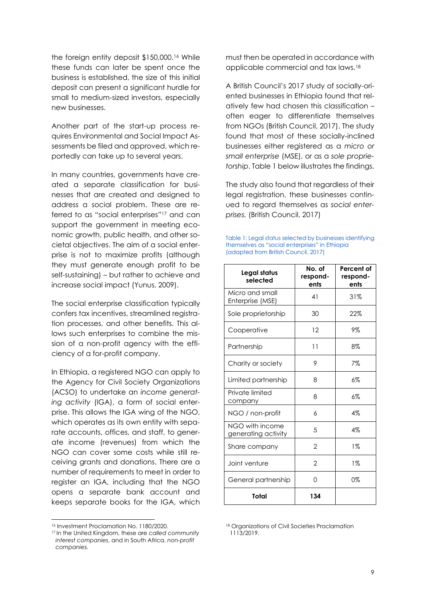the foreign entity deposit \$150,000. <sup>16</sup> While these funds can later be spent once the business is established, the size of this initial deposit can present a significant hurdle for small to medium-sized investors, especially new businesses.

Another part of the start-up process requires Environmental and Social Impact Assessments be filed and approved, which reportedly can take up to several years.

In many countries, governments have created a separate classification for businesses that are created and designed to address a social problem. These are referred to as "social enterprises" <sup>17</sup> and can support the government in meeting economic growth, public health, and other societal objectives. The aim of a social enterprise is not to maximize profits (although they must generate enough profit to be self-sustaining) – but rather to achieve and increase social impact (Yunus, 2009).

The social enterprise classification typically confers tax incentives, streamlined registration processes, and other benefits. This allows such enterprises to combine the mission of a non-profit agency with the efficiency of a for-profit company.

In Ethiopia, a registered NGO can apply to the Agency for Civil Society Organizations (ACSO) to undertake an *income generating activity* (IGA), a form of social enterprise. This allows the IGA wing of the NGO, which operates as its own entity with separate accounts, offices, and staff, to generate income (revenues) from which the NGO can cover some costs while still receiving grants and donations. There are a number of requirements to meet in order to register an IGA, including that the NGO opens a separate bank account and keeps separate books for the IGA, which

must then be operated in accordance with applicable commercial and tax laws.<sup>18</sup>

A British Council's 2017 study of socially-oriented businesses in Ethiopia found that relatively few had chosen this classification – often eager to differentiate themselves from NGOs (British Council, 2017). The study found that most of these socially-inclined businesses either registered as a *micro or small enterprise* (MSE), or as a *sole proprietorship*. Table 1 below illustrates the findings.

The study also found that regardless of their legal registration, these businesses continued to regard themselves as *social enterprises.* (British Council, 2017)

| Table 1: Legal status selected by businesses identifying |
|----------------------------------------------------------|
| themselves as "social enterprises" in Ethiopia           |
| (adapted from British Council, 2017)                     |

| Legal status<br>selected               | No. of<br>respond-<br>ents | Percent of<br>respond-<br>ents |
|----------------------------------------|----------------------------|--------------------------------|
| Micro and small<br>Enterprise (MSE)    | 41                         | 31%                            |
| Sole proprietorship                    | 30                         | 22%                            |
| Cooperative                            | 12                         | 9%                             |
| Partnership                            | 11                         | 8%                             |
| Charity or society                     | 9                          | 7%                             |
| Limited partnership                    | 8                          | 6%                             |
| Private limited<br>company             | 8                          | 6%                             |
| NGO / non-profit                       | 6                          | 4%                             |
| NGO with income<br>generating activity | 5                          | $4\%$                          |
| Share company                          | 2                          | $1\%$                          |
| Joint venture                          | $\overline{2}$             | $1\%$                          |
| General partnership                    | 0                          | 0%                             |
| Total                                  | 134                        |                                |

<sup>18</sup> Organizations of Civil Societies Proclamation 1113/2019.

<sup>16</sup> Investment Proclamation No. 1180/2020.

<sup>17</sup> In the United Kingdom, these are *called community interest companies*, and in South Africa, *non-profit companies.*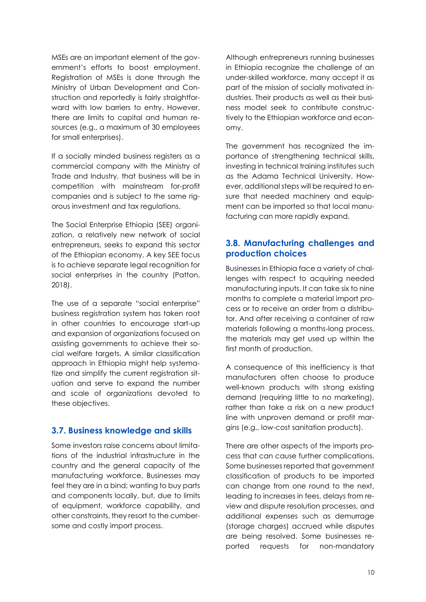MSEs are an important element of the government's efforts to boost employment. Registration of MSEs is done through the Ministry of Urban Development and Construction and reportedly is fairly straightforward with low barriers to entry. However, there are limits to capital and human resources (e.g., a maximum of 30 employees for small enterprises).

If a socially minded business registers as a commercial company with the Ministry of Trade and Industry, that business will be in competition with mainstream for-profit companies and is subject to the same rigorous investment and tax regulations.

The Social Enterprise Ethiopia (SEE) organization, a relatively new network of social entrepreneurs, seeks to expand this sector of the Ethiopian economy. A key SEE focus is to achieve separate legal recognition for social enterprises in the country (Patton, 2018).

The use of a separate "social enterprise" business registration system has taken root in other countries to encourage start-up and expansion of organizations focused on assisting governments to achieve their social welfare targets. A similar classification approach in Ethiopia might help systematize and simplify the current reaistration situation and serve to expand the number and scale of organizations devoted to these objectives.

#### <span id="page-13-0"></span>**3.7. Business knowledge and skills**

Some investors raise concerns about limitations of the industrial infrastructure in the country and the general capacity of the manufacturing workforce. Businesses may feel they are in a bind; wanting to buy parts and components locally, but, due to limits of equipment, workforce capability, and other constraints, they resort to the cumbersome and costly import process.

Although entrepreneurs running businesses in Ethiopia recognize the challenge of an under-skilled workforce, many accept it as part of the mission of socially motivated industries. Their products as well as their business model seek to contribute constructively to the Ethiopian workforce and economy.

The government has recognized the importance of strengthening technical skills, investing in technical training institutes such as the Adama Technical University. However, additional steps will be required to ensure that needed machinery and equipment can be imported so that local manufacturing can more rapidly expand.

#### <span id="page-13-1"></span>**3.8. Manufacturing challenges and production choices**

Businesses in Ethiopia face a variety of challenges with respect to acquiring needed manufacturing inputs. It can take six to nine months to complete a material import process or to receive an order from a distributor. And after receiving a container of raw materials following a months-long process, the materials may get used up within the first month of production.

A consequence of this inefficiency is that manufacturers often choose to produce well-known products with strong existing demand (requiring little to no marketing), rather than take a risk on a new product line with unproven demand or profit margins (e.g., low-cost sanitation products).

There are other aspects of the imports process that can cause further complications. Some businesses reported that government classification of products to be imported can change from one round to the next, leading to increases in fees, delays from review and dispute resolution processes, and additional expenses such as demurrage (storage charges) accrued while disputes are being resolved. Some businesses reported requests for non-mandatory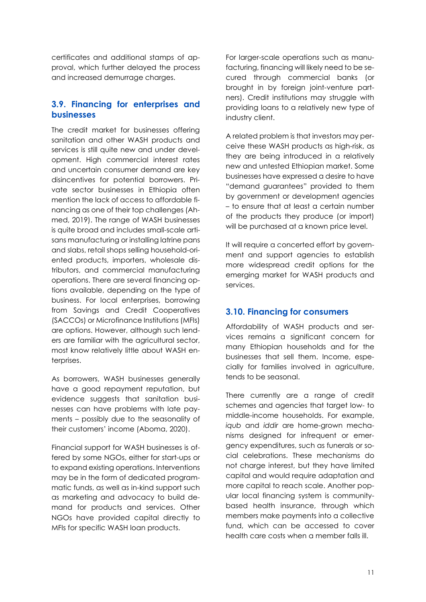certificates and additional stamps of approval, which further delayed the process and increased demurrage charges.

#### <span id="page-14-0"></span>**3.9. Financing for enterprises and businesses**

The credit market for businesses offering sanitation and other WASH products and services is still quite new and under development. High commercial interest rates and uncertain consumer demand are key disincentives for potential borrowers. Private sector businesses in Ethiopia often mention the lack of access to affordable financing as one of their top challenges (Ahmed, 2019). The range of WASH businesses is quite broad and includes small-scale artisans manufacturing or installing latrine pans and slabs, retail shops selling household-oriented products, importers, wholesale distributors, and commercial manufacturing operations. There are several financing options available, depending on the type of business. For local enterprises, borrowing from Savings and Credit Cooperatives (SACCOs) or Microfinance Institutions (MFIs) are options. However, although such lenders are familiar with the agricultural sector, most know relatively little about WASH enterprises.

As borrowers, WASH businesses generally have a good repayment reputation, but evidence suggests that sanitation businesses can have problems with late payments – possibly due to the seasonality of their customers' income (Aboma, 2020).

Financial support for WASH businesses is offered by some NGOs, either for start-ups or to expand existing operations. Interventions may be in the form of dedicated programmatic funds, as well as in-kind support such as marketing and advocacy to build demand for products and services. Other NGOs have provided capital directly to MFIs for specific WASH loan products.

For larger-scale operations such as manufacturing, financing will likely need to be secured through commercial banks (or brought in by foreign joint-venture partners). Credit institutions may struggle with providing loans to a relatively new type of industry client.

A related problem is that investors may perceive these WASH products as high-risk, as they are being introduced in a relatively new and untested Ethiopian market. Some businesses have expressed a desire to have "demand guarantees" provided to them by government or development agencies – to ensure that at least a certain number of the products they produce (or import) will be purchased at a known price level.

It will require a concerted effort by government and support agencies to establish more widespread credit options for the emerging market for WASH products and services.

#### <span id="page-14-1"></span>**3.10. Financing for consumers**

Affordability of WASH products and services remains a significant concern for many Ethiopian households and for the businesses that sell them. Income, especially for families involved in agriculture, tends to be seasonal.

There currently are a range of credit schemes and agencies that target low- to middle-income households. For example, *iqub* and *iddir* are home-grown mechanisms designed for infrequent or emergency expenditures, such as funerals or social celebrations. These mechanisms do not charge interest, but they have limited capital and would require adaptation and more capital to reach scale. Another popular local financing system is communitybased health insurance, through which members make payments into a collective fund, which can be accessed to cover health care costs when a member falls ill.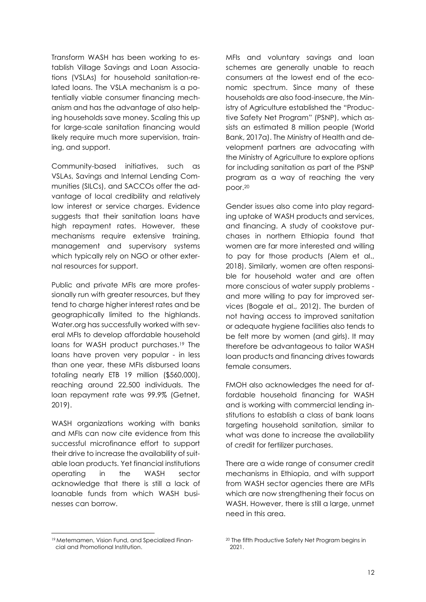Transform WASH has been working to establish Village Savings and Loan Associations (VSLAs) for household sanitation-related loans. The VSLA mechanism is a potentially viable consumer financing mechanism and has the advantage of also helping households save money. Scaling this up for large-scale sanitation financing would likely require much more supervision, training, and support.

Community-based initiatives, such as VSLAs, Savings and Internal Lending Communities (SILCs), and SACCOs offer the advantage of local credibility and relatively low interest or service charges. Evidence suggests that their sanitation loans have high repayment rates. However, these mechanisms require extensive training, management and supervisory systems which typically rely on NGO or other external resources for support.

Public and private MFIs are more professionally run with greater resources, but they tend to charge higher interest rates and be geographically limited to the highlands. Water.org has successfully worked with several MFIs to develop affordable household loans for WASH product purchases. <sup>19</sup> The loans have proven very popular - in less than one year, these MFIs disbursed loans totaling nearly ETB 19 million (\$560,000), reaching around 22,500 individuals. The loan repayment rate was 99.9% (Getnet, 2019).

WASH organizations working with banks and MFIs can now cite evidence from this successful microfinance effort to support their drive to increase the availability of suitable loan products. Yet financial institutions operating in the WASH sector acknowledge that there is still a lack of loanable funds from which WASH businesses can borrow.

MFIs and voluntary savings and loan schemes are generally unable to reach consumers at the lowest end of the economic spectrum. Since many of these households are also food-insecure, the Ministry of Agriculture established the "Productive Safety Net Program" (PSNP), which assists an estimated 8 million people (World Bank, 2017a). The Ministry of Health and development partners are advocating with the Ministry of Agriculture to explore options for including sanitation as part of the PSNP program as a way of reaching the very poor.<sup>20</sup>

Gender issues also come into play regarding uptake of WASH products and services, and financing. A study of cookstove purchases in northern Ethiopia found that women are far more interested and willing to pay for those products (Alem et al., 2018). Similarly, women are often responsible for household water and are often more conscious of water supply problems and more willing to pay for improved services (Bogale et al., 2012). The burden of not having access to improved sanitation or adequate hygiene facilities also tends to be felt more by women (and girls). It may therefore be advantageous to tailor WASH loan products and financing drives towards female consumers.

FMOH also acknowledges the need for affordable household financing for WASH and is working with commercial lending institutions to establish a class of bank loans targeting household sanitation, similar to what was done to increase the availability of credit for fertilizer purchases.

There are a wide range of consumer credit mechanisms in Ethiopia, and with support from WASH sector agencies there are MFIs which are now strengthening their focus on WASH. However, there is still a large, unmet need in this area.

<sup>19</sup> Metemamen, Vision Fund, and Specialized Financial and Promotional Institution.

<sup>20</sup> The fifth Productive Safety Net Program begins in 2021.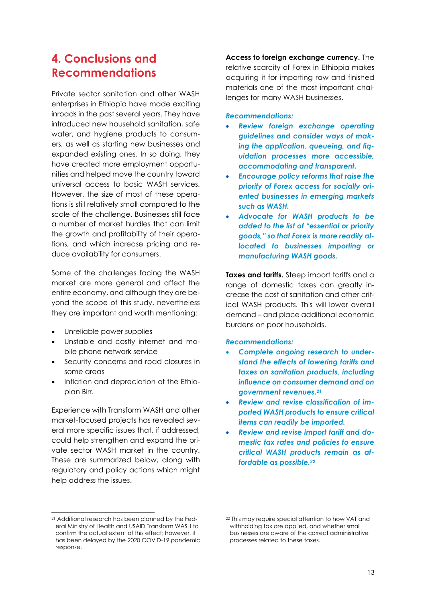### <span id="page-16-0"></span>**4. Conclusions and Recommendations**

Private sector sanitation and other WASH enterprises in Ethiopia have made exciting inroads in the past several years. They have introduced new household sanitation, safe water, and hygiene products to consumers, as well as starting new businesses and expanded existing ones. In so doing, they have created more employment opportunities and helped move the country toward universal access to basic WASH services. However, the size of most of these operations is still relatively small compared to the scale of the challenge. Businesses still face a number of market hurdles that can limit the growth and profitability of their operations, and which increase pricing and reduce availability for consumers.

Some of the challenges facing the WASH market are more general and affect the entire economy, and although they are beyond the scope of this study, nevertheless they are important and worth mentioning:

- Unreliable power supplies
- Unstable and costly internet and mobile phone network service
- Security concerns and road closures in some areas
- Inflation and depreciation of the Ethiopian Birr.

Experience with Transform WASH and other market-focused projects has revealed several more specific issues that, if addressed, could help strengthen and expand the private sector WASH market in the country. These are summarized below, along with regulatory and policy actions which might help address the issues.

**Access to foreign exchange currency.** The relative scarcity of Forex in Ethiopia makes acquiring it for importing raw and finished materials one of the most important challenges for many WASH businesses.

#### *Recommendations:*

- *Review foreign exchange operating guidelines and consider ways of making the application, queueing, and liquidation processes more accessible, accommodating and transparent.*
- *Encourage policy reforms that raise the priority of Forex access for socially oriented businesses in emerging markets such as WASH.*
- *Advocate for WASH products to be added to the list of "essential or priority goods," so that Forex is more readily allocated to businesses importing or manufacturing WASH goods.*

**Taxes and tariffs.** Steep import tariffs and a range of domestic taxes can greatly increase the cost of sanitation and other critical WASH products. This will lower overall demand – and place additional economic burdens on poor households.

#### *Recommendations:*

- *Complete ongoing research to understand the effects of lowering tariffs and taxes on sanitation products, including influence on consumer demand and on government revenues.<sup>21</sup>*
- *Review and revise classification of imported WASH products to ensure critical items can readily be imported.*
- *Review and revise import tariff and domestic tax rates and policies to ensure critical WASH products remain as affordable as possible. 22*

<sup>21</sup> Additional research has been planned by the Federal Ministry of Health and USAID Transform WASH to confirm the actual extent of this effect; however, it has been delayed by the 2020 COVID-19 pandemic response.

<sup>22</sup> This may require special attention to how VAT and withholding tax are applied, and whether small businesses are aware of the correct administrative processes related to these taxes.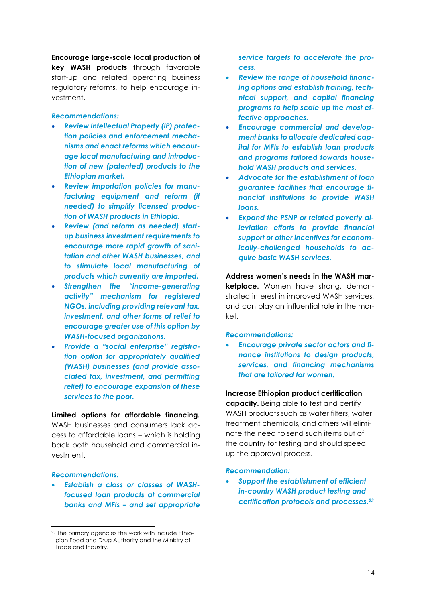**Encourage large-scale local production of key WASH products** through favorable start-up and related operating business regulatory reforms, to help encourage investment.

#### *Recommendations:*

- *Review Intellectual Property (IP) protection policies and enforcement mechanisms and enact reforms which encourage local manufacturing and introduction of new (patented) products to the Ethiopian market.*
- *Review importation policies for manufacturing equipment and reform (if needed) to simplify licensed production of WASH products in Ethiopia.*
- *Review (and reform as needed) startup business investment requirements to encourage more rapid growth of sanitation and other WASH businesses, and to stimulate local manufacturing of products which currently are imported.*
- *Strengthen the "income-generating activity" mechanism for registered NGOs, including providing relevant tax, investment, and other forms of relief to encourage greater use of this option by WASH-focused organizations.*
- *Provide a "social enterprise" registration option for appropriately qualified (WASH) businesses (and provide associated tax, investment, and permitting relief) to encourage expansion of these services to the poor.*

**Limited options for affordable financing.** WASH businesses and consumers lack access to affordable loans – which is holding back both household and commercial investment.

#### *Recommendations:*

• *Establish a class or classes of WASHfocused loan products at commercial banks and MFIs – and set appropriate* 

*service targets to accelerate the process.*

- *Review the range of household financing options and establish training, technical support, and capital financing programs to help scale up the most effective approaches.*
- *Encourage commercial and development banks to allocate dedicated capital for MFIs to establish loan products and programs tailored towards household WASH products and services.*
- *Advocate for the establishment of loan guarantee facilities that encourage financial institutions to provide WASH loans.*
- *Expand the PSNP or related poverty alleviation efforts to provide financial support or other incentives for economically-challenged households to acquire basic WASH services.*

**Address women's needs in the WASH marketplace.** Women have strong, demonstrated interest in improved WASH services, and can play an influential role in the market.

#### *Recommendations:*

• *Encourage private sector actors and finance institutions to design products, services, and financing mechanisms that are tailored for women.*

#### **Increase Ethiopian product certification**

**capacity.** Being able to test and certify WASH products such as water filters, water treatment chemicals, and others will eliminate the need to send such items out of the country for testing and should speed up the approval process.

#### *Recommendation:*

• *Support the establishment of efficient in-country WASH product testing and certification protocols and processes. 23*

<sup>23</sup> The primary agencies the work with include Ethiopian Food and Drug Authority and the Ministry of Trade and Industry.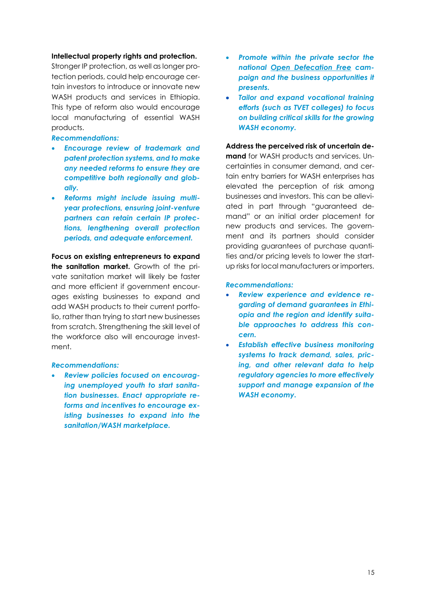#### **Intellectual property rights and protection.**

Stronger IP protection, as well as longer protection periods, could help encourage certain investors to introduce or innovate new WASH products and services in Ethiopia. This type of reform also would encourage local manufacturing of essential WASH products.

*Recommendations:* 

- *Encourage review of trademark and patent protection systems, and to make any needed reforms to ensure they are competitive both regionally and globally.*
- *Reforms might include issuing multiyear protections, ensuring joint-venture partners can retain certain IP protections, lengthening overall protection periods, and adequate enforcement.*

**Focus on existing entrepreneurs to expand the sanitation market.** Growth of the private sanitation market will likely be faster and more efficient if government encourages existing businesses to expand and add WASH products to their current portfolio, rather than trying to start new businesses from scratch. Strengthening the skill level of the workforce also will encourage investment.

#### *Recommendations:*

• *Review policies focused on encouraging unemployed youth to start sanitation businesses. Enact appropriate reforms and incentives to encourage existing businesses to expand into the sanitation/WASH marketplace.* 

- *Promote within the private sector the national Open Defecation Free campaign and the business opportunities it presents.*
- *Tailor and expand vocational training efforts (such as TVET colleges) to focus on building critical skills for the growing WASH economy.*

**Address the perceived risk of uncertain demand** for WASH products and services. Uncertainties in consumer demand, and certain entry barriers for WASH enterprises has elevated the perception of risk among businesses and investors. This can be alleviated in part through "guaranteed demand" or an initial order placement for new products and services. The government and its partners should consider providing guarantees of purchase quantities and/or pricing levels to lower the startup risks for local manufacturers or importers.

#### *Recommendations:*

- *Review experience and evidence regarding of demand guarantees in Ethiopia and the region and identify suitable approaches to address this concern.*
- *Establish effective business monitoring systems to track demand, sales, pricing, and other relevant data to help regulatory agencies to more effectively support and manage expansion of the WASH economy.*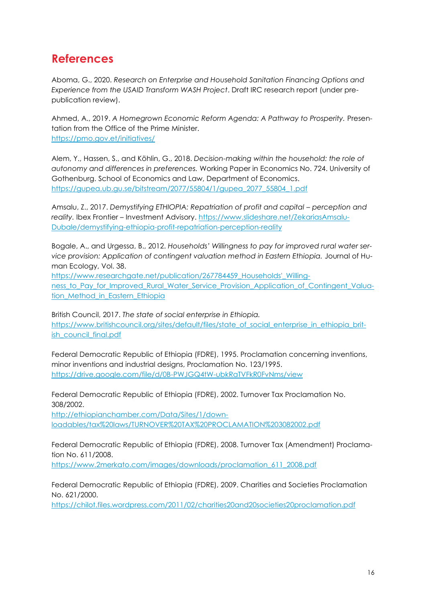## <span id="page-19-0"></span>**References**

Aboma, G., 2020. *Research on Enterprise and Household Sanitation Financing Options and Experience from the USAID Transform WASH Project*. Draft IRC research report (under prepublication review).

Ahmed, A., 2019. *A Homegrown Economic Reform Agenda: A Pathway to Prosperity.* Presentation from the Office of the Prime Minister. <https://pmo.gov.et/initiatives/>

Alem, Y., Hassen, S., and Köhlin, G., 2018. *Decision-making within the household: the role of autonomy and differences in preferences.* Working Paper in Economics No. 724. University of Gothenburg. School of Economics and Law, Department of Economics. [https://gupea.ub.gu.se/bitstream/2077/55804/1/gupea\\_2077\\_55804\\_1.pdf](https://gupea.ub.gu.se/bitstream/2077/55804/1/gupea_2077_55804_1.pdf)

Amsalu, Z., 2017. Demystifying ETHIOPIA: Repatriation of profit and capital – perception and *reality.* Ibex Frontier – Investment Advisory. [https://www.slideshare.net/ZekariasAmsalu-](https://www.slideshare.net/ZekariasAmsaluDubale/demystifying-ethiopia-profit-repatriation-perception-reality)[Dubale/demystifying-ethiopia-profit-repatriation-perception-reality](https://www.slideshare.net/ZekariasAmsaluDubale/demystifying-ethiopia-profit-repatriation-perception-reality)

Bogale, A., and Urgessa, B., 2012. *Households' Willingness to pay for improved rural water service provision: Application of contingent valuation method in Eastern Ethiopia.* Journal of Human Ecology, Vol. 38.

[https://www.researchgate.net/publication/267784459\\_Households'\\_Willing](https://www.researchgate.net/publication/267784459_Households)[ness\\_to\\_Pay\\_for\\_Improved\\_Rural\\_Water\\_Service\\_Provision\\_Application\\_of\\_Contingent\\_Valua](https://www.researchgate.net/publication/267784459_Households)tion Method in Eastern Ethiopia

British Council, 2017. *The state of social enterprise in Ethiopia.* [https://www.britishcouncil.org/sites/default/files/state\\_of\\_social\\_enterprise\\_in\\_ethiopia\\_brit](https://www.britishcouncil.org/sites/default/files/state_of_social_enterprise_in_ethiopia_british_council_final.pdf)[ish\\_council\\_final.pdf](https://www.britishcouncil.org/sites/default/files/state_of_social_enterprise_in_ethiopia_british_council_final.pdf)

Federal Democratic Republic of Ethiopia (FDRE), 1995. Proclamation concerning inventions, minor inventions and industrial designs, Proclamation No. 123/1995. <https://drive.google.com/file/d/0B-PWJGQ4tW-ubkRaTVFkR0FvNms/view>

Federal Democratic Republic of Ethiopia (FDRE), 2002. Turnover Tax Proclamation No. 308/2002.

[http://ethiopianchamber.com/Data/Sites/1/down](http://ethiopianchamber.com/Data/Sites/1/downloadables/tax%20laws/TURNOVER%20TAX%20PROCLAMATION%203082002.pdf)[loadables/tax%20laws/TURNOVER%20TAX%20PROCLAMATION%203082002.pdf](http://ethiopianchamber.com/Data/Sites/1/downloadables/tax%20laws/TURNOVER%20TAX%20PROCLAMATION%203082002.pdf)

Federal Democratic Republic of Ethiopia (FDRE), 2008. Turnover Tax (Amendment) Proclamation No. 611/2008.

[https://www.2merkato.com/images/downloads/proclamation\\_611\\_2008.pdf](https://www.2merkato.com/images/downloads/proclamation_611_2008.pdf)

Federal Democratic Republic of Ethiopia (FDRE), 2009. Charities and Societies Proclamation No. 621/2000.

<https://chilot.files.wordpress.com/2011/02/charities20and20societies20proclamation.pdf>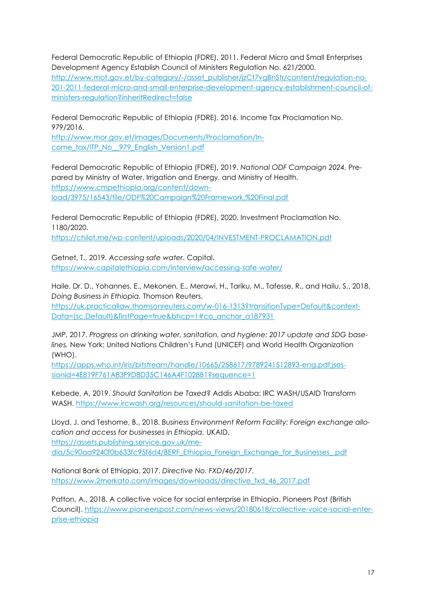Federal Democratic Republic of Ethiopia (FDRE), 2011. Federal Micro and Small Enterprises Development Agency Establish Council of Ministers Regulation No. 621/2000.

[http://www.mot.gov.et/by-category/-/asset\\_publisher/jzCt7vgBnStr/content/regulation-no-](http://www.mot.gov.et/by-category/-/asset_publisher/jzCt7vgBnStr/content/regulation-no-201-2011-federal-micro-and-small-enterprise-development-agency-establishment-council-of-ministers-regulation?inheritRedirect=false)[201-2011-federal-micro-and-small-enterprise-development-agency-establishment-council-of](http://www.mot.gov.et/by-category/-/asset_publisher/jzCt7vgBnStr/content/regulation-no-201-2011-federal-micro-and-small-enterprise-development-agency-establishment-council-of-ministers-regulation?inheritRedirect=false)[ministers-regulation?inheritRedirect=false](http://www.mot.gov.et/by-category/-/asset_publisher/jzCt7vgBnStr/content/regulation-no-201-2011-federal-micro-and-small-enterprise-development-agency-establishment-council-of-ministers-regulation?inheritRedirect=false)

Federal Democratic Republic of Ethiopia (FDRE), 2016. Income Tax Proclamation No. 979/2016.

[http://www.mor.gov.et/images/Documents/Proclamation/In](http://www.mor.gov.et/images/Documents/Proclamation/Income_tax/ITP_No__979_English_Version1.pdf)[come\\_tax/ITP\\_No\\_\\_979\\_English\\_Version1.pdf](http://www.mor.gov.et/images/Documents/Proclamation/Income_tax/ITP_No__979_English_Version1.pdf)

Federal Democratic Republic of Ethiopia (FDRE), 2019. *National ODF Campaign 2024.* Prepared by Ministry of Water, Irrigation and Energy, and Ministry of Health. [https://www.cmpethiopia.org/content/down](https://www.cmpethiopia.org/content/download/3975/16543/file/ODF%20Campaign%20Framework,%20Final.pdf)[load/3975/16543/file/ODF%20Campaign%20Framework,%20Final.pdf](https://www.cmpethiopia.org/content/download/3975/16543/file/ODF%20Campaign%20Framework,%20Final.pdf)

Federal Democratic Republic of Ethiopia (FDRE), 2020. Investment Proclamation No. 1180/2020.

<https://chilot.me/wp-content/uploads/2020/04/INVESTMENT-PROCLAMATION.pdf>

Getnet, T., 2019. *Accessing safe water*. Capital. <https://www.capitalethiopia.com/interview/accessing-safe-water/>

Haile, Dr. D., Yohannes, E., Mekonen, E., Merawi, H., Tariku, M., Tafesse, R., and Hailu, S., 2018. *Doing Business in Ethiopia.* Thomson Reuters.

[https://uk.practicallaw.thomsonreuters.com/w-016-1313?transitionType=Default&context-](https://uk.practicallaw.thomsonreuters.com/w-016-1313?transitionType=Default&contextData=(sc.Default)&firstPage=true&bhcp=1#co_anchor_a187931)[Data=\(sc.Default\)&firstPage=true&bhcp=1#co\\_anchor\\_a187931](https://uk.practicallaw.thomsonreuters.com/w-016-1313?transitionType=Default&contextData=(sc.Default)&firstPage=true&bhcp=1#co_anchor_a187931)

JMP, 2017. *Progress on drinking water, sanitation, and hygiene: 2017 update and SDG baselines.* New York: United Nations Children's Fund (UNICEF) and World Health Organization (WHO).

[https://apps.who.int/iris/bitstream/handle/10665/258617/9789241512893-eng.pdf;jses](https://apps.who.int/iris/bitstream/handle/10665/258617/9789241512893-eng.pdf;jsessionid=4E819F761A83F9D8D35C146A4F1028B1?sequence=1)[sionid=4E819F761A83F9D8D35C146A4F1028B1?sequence=1](https://apps.who.int/iris/bitstream/handle/10665/258617/9789241512893-eng.pdf;jsessionid=4E819F761A83F9D8D35C146A4F1028B1?sequence=1)

Kebede, A, 2019. *Should Sanitation be Taxed*? Addis Ababa: IRC WASH/USAID Transform WASH. <https://www.ircwash.org/resources/should-sanitation-be-taxed>

Lloyd, J. and Teshome, B., 2018. *Business Environment Reform Facility: Foreign exchange allocation and access for businesses in Ethiopia.* UKAID. [https://assets.publishing.service.gov.uk/me-](https://assets.publishing.service.gov.uk/media/5c90aa9240f0b633fc95f6d4/BERF_Ethiopia_Foreign_Exchange_for_Businesses_.pdf)

[dia/5c90aa9240f0b633fc95f6d4/BERF\\_Ethiopia\\_Foreign\\_Exchange\\_for\\_Businesses\\_.pdf](https://assets.publishing.service.gov.uk/media/5c90aa9240f0b633fc95f6d4/BERF_Ethiopia_Foreign_Exchange_for_Businesses_.pdf)

National Bank of Ethiopia, 2017. *Directive No. FXD/46/2017.* [https://www.2merkato.com/images/downloads/directive\\_fxd\\_46\\_2017.pdf](https://www.2merkato.com/images/downloads/directive_fxd_46_2017.pdf)

Patton, A., 2018. A collective voice for social enterprise in Ethiopia. Pioneers Post (British Council). [https://www.pioneerspost.com/news-views/20180618/collective-voice-social-enter](https://www.pioneerspost.com/news-views/20180618/collective-voice-social-enterprise-ethiopia)[prise-ethiopia](https://www.pioneerspost.com/news-views/20180618/collective-voice-social-enterprise-ethiopia)